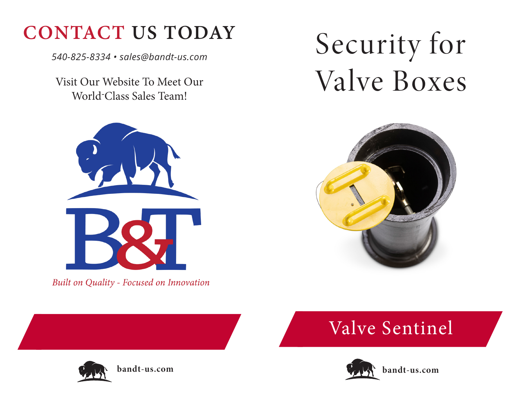## **CONTACT US TODAY**

*540-825-8334 • sales@bandt-us.com*

Visit Our Website To Meet Our World-Class Sales Team!



Built on Quality - Focused on Innovation

# Security for Valve Boxes



## Valve Sentinel



**bandt-us.com**